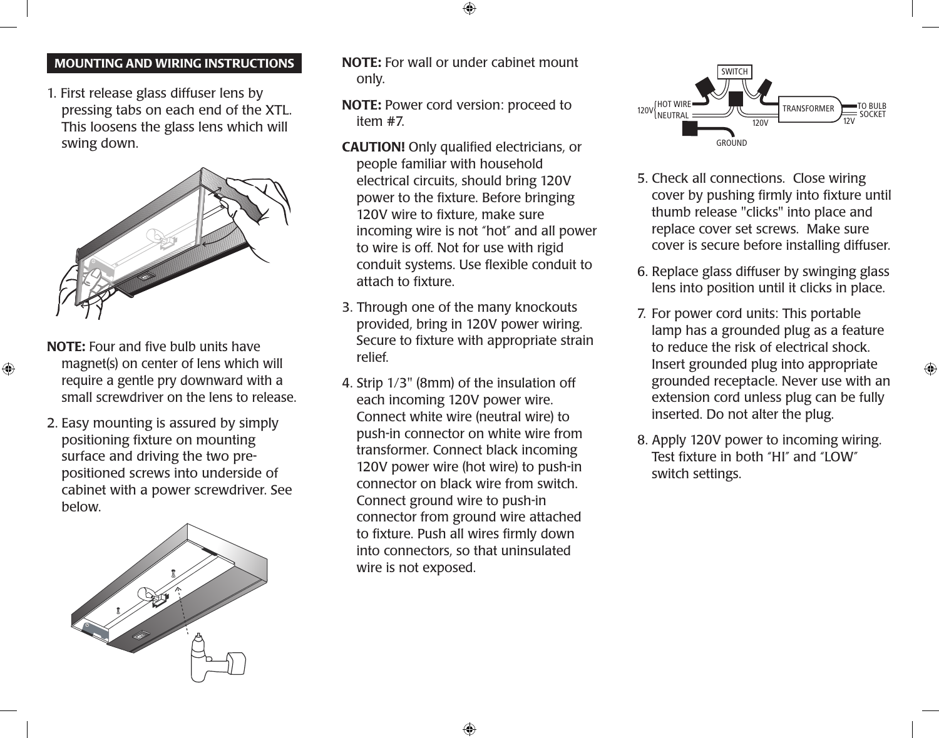# MOUNTING AND Wiring instructions

1. First release glass diffuser lens by pressing tabs on each end of the XTL. This loosens the glass lens which will swing down.



NOTE: Four and five bulb units have magnet(s) on center of lens which will require a gentle pry downward with a small screwdriver on the lens to release.

 $\bigoplus$ 

2. Easy mounting is assured by simply positioning fixture on mounting surface and driving the two prepositioned screws into underside of cabinet with a power screwdriver. See below.



NOTE: For wall or under cabinet mount only.

⊕

NOTE: Power cord version: proceed to item #7.

- CAUTION! Only qualified electricians, or people familiar with household electrical circuits, should bring 120V power to the fixture. Before bringing 120V wire to fixture, make sure incoming wire is not "hot" and all power to wire is off. Not for use with rigid conduit systems. Use flexible conduit to attach to fixture.
- 3. Through one of the many knockouts provided, bring in 120V power wiring. Secure to fixture with appropriate strain relief.
- 4. Strip 1/3" (8mm) of the insulation off each incoming 120V power wire. Connect white wire (neutral wire) to push-in connector on white wire from transformer. Connect black incoming 120V power wire (hot wire) to push-in connector on black wire from switch. Connect ground wire to push-in connector from ground wire attached to fixture. Push all wires firmly down into connectors, so that uninsulated wire is not exposed.



- 5. Check all connections. Close wiring cover by pushing firmly into fixture until thumb release "clicks" into place and replace cover set screws. Make sure cover is secure before installing diffuser.
- 6. Replace glass diffuser by swinging glass lens into position until it clicks in place.
- 7. For power cord units: This portable lamp has a grounded plug as a feature to reduce the risk of electrical shock. Insert grounded plug into appropriate grounded receptacle. Never use with an extension cord unless plug can be fully inserted. Do not alter the plug.
- 8. Apply 120V power to incoming wiring. Test fixture in both "HI" and "LOW" switch settings.

⊕